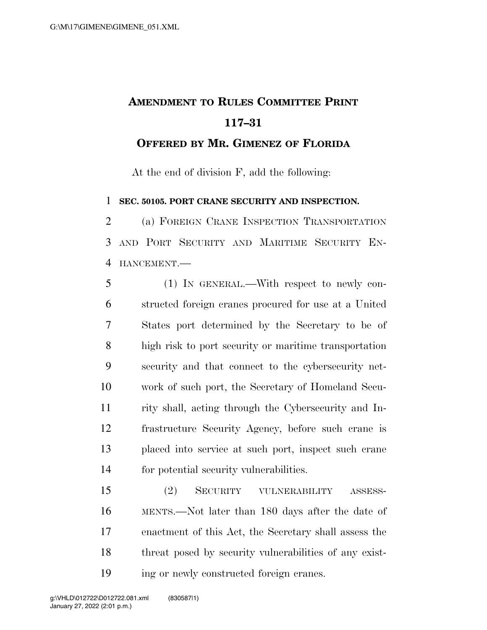## **AMENDMENT TO RULES COMMITTEE PRINT 117–31 OFFERED BY MR. GIMENEZ OF FLORIDA**

At the end of division F, add the following:

**SEC. 50105. PORT CRANE SECURITY AND INSPECTION.** 

 (a) FOREIGN CRANE INSPECTION TRANSPORTATION AND PORT SECURITY AND MARITIME SECURITY EN-HANCEMENT.—

 (1) IN GENERAL.—With respect to newly con- structed foreign cranes procured for use at a United States port determined by the Secretary to be of high risk to port security or maritime transportation security and that connect to the cybersecurity net- work of such port, the Secretary of Homeland Secu- rity shall, acting through the Cybersecurity and In- frastructure Security Agency, before such crane is placed into service at such port, inspect such crane for potential security vulnerabilities.

 (2) SECURITY VULNERABILITY ASSESS- MENTS.—Not later than 180 days after the date of enactment of this Act, the Secretary shall assess the threat posed by security vulnerabilities of any exist-ing or newly constructed foreign cranes.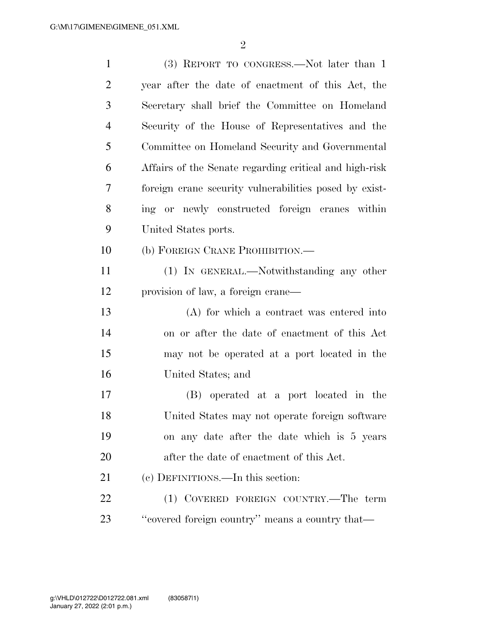| $\mathbf{1}$   | (3) REPORT TO CONGRESS.—Not later than 1               |
|----------------|--------------------------------------------------------|
| $\overline{2}$ | year after the date of enactment of this Act, the      |
| 3              | Secretary shall brief the Committee on Homeland        |
| 4              | Security of the House of Representatives and the       |
| 5              | Committee on Homeland Security and Governmental        |
| 6              | Affairs of the Senate regarding critical and high-risk |
| 7              | foreign crane security vulnerabilities posed by exist- |
| 8              | ing or newly constructed foreign cranes within         |
| 9              | United States ports.                                   |
| 10             | (b) FOREIGN CRANE PROHIBITION.—                        |
| 11             | (1) IN GENERAL.—Notwithstanding any other              |
| 12             | provision of law, a foreign crane—                     |
| 13             | (A) for which a contract was entered into              |
| 14             | on or after the date of enactment of this Act          |
| 15             | may not be operated at a port located in the           |
| 16             | United States; and                                     |
| 17             | (B) operated at a port located in the                  |
| 18             | United States may not operate foreign software         |
| 19             | on any date after the date which is 5 years            |
| 20             | after the date of enactment of this Act.               |
| 21             | (c) DEFINITIONS.—In this section:                      |
| 22             | (1) COVERED FOREIGN COUNTRY.—The term                  |
| 23             | "covered foreign country" means a country that—        |